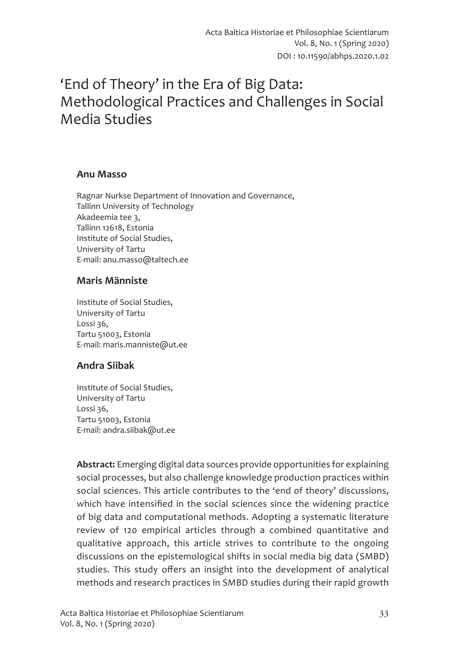# 'End of Theory' in the Era of Big Data: Methodological Practices and Challenges in Social Media Studies

#### **Anu Masso**

Ragnar Nurkse Department of Innovation and Governance, Tallinn University of Technology Akadeemia tee 3, Tallinn 12618, Estonia Institute of Social Studies, University of Tartu E-mail: anu.masso@taltech.ee

#### **Maris Männiste**

Institute of Social Studies, University of Tartu Lossi 36, Tartu 51003, Estonia E-mail: maris.manniste@ut.ee

#### **Andra Siibak**

Institute of Social Studies, University of Tartu Lossi 36, Tartu 51003, Estonia E-mail: andra.siibak@ut.ee

**Abstract:** Emerging digital data sources provide opportunities for explaining social processes, but also challenge knowledge production practices within social sciences. This article contributes to the 'end of theory' discussions, which have intensified in the social sciences since the widening practice of big data and computational methods. Adopting a systematic literature review of 120 empirical articles through a combined quantitative and qualitative approach, this article strives to contribute to the ongoing discussions on the epistemological shifts in social media big data (SMBD) studies. This study offers an insight into the development of analytical methods and research practices in SMBD studies during their rapid growth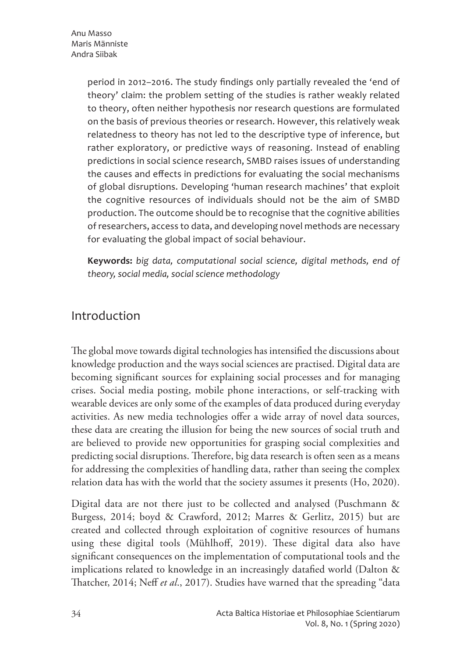period in 2012–2016. The study findings only partially revealed the 'end of theory' claim: the problem setting of the studies is rather weakly related to theory, often neither hypothesis nor research questions are formulated on the basis of previous theories or research. However, this relatively weak relatedness to theory has not led to the descriptive type of inference, but rather exploratory, or predictive ways of reasoning. Instead of enabling predictions in social science research, SMBD raises issues of understanding the causes and effects in predictions for evaluating the social mechanisms of global disruptions. Developing 'human research machines' that exploit the cognitive resources of individuals should not be the aim of SMBD production. The outcome should be to recognise that the cognitive abilities of researchers, access to data, and developing novel methods are necessary for evaluating the global impact of social behaviour.

**Keywords:** *big data, computational social science, digital methods, end of theory, social media, social science methodology* 

## Introduction

The global move towards digital technologies has intensified the discussions about knowledge production and the ways social sciences are practised. Digital data are becoming significant sources for explaining social processes and for managing crises. Social media posting, mobile phone interactions, or self-tracking with wearable devices are only some of the examples of data produced during everyday activities. As new media technologies offer a wide array of novel data sources, these data are creating the illusion for being the new sources of social truth and are believed to provide new opportunities for grasping social complexities and predicting social disruptions. Therefore, big data research is often seen as a means for addressing the complexities of handling data, rather than seeing the complex relation data has with the world that the society assumes it presents (Ho, 2020).

Digital data are not there just to be collected and analysed (Puschmann & Burgess, 2014; boyd & Crawford, 2012; Marres & Gerlitz, 2015) but are created and collected through exploitation of cognitive resources of humans using these digital tools (Mühlhoff, 2019). These digital data also have significant consequences on the implementation of computational tools and the implications related to knowledge in an increasingly datafied world (Dalton & Thatcher, 2014; Neff *et al*., 2017). Studies have warned that the spreading "data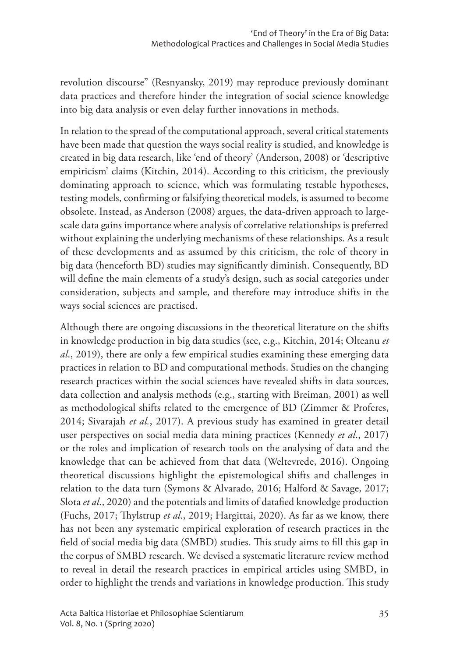revolution discourse" (Resnyansky, 2019) may reproduce previously dominant data practices and therefore hinder the integration of social science knowledge into big data analysis or even delay further innovations in methods.

In relation to the spread of the computational approach, several critical statements have been made that question the ways social reality is studied, and knowledge is created in big data research, like 'end of theory' (Anderson, 2008) or 'descriptive empiricism' claims (Kitchin, 2014). According to this criticism, the previously dominating approach to science, which was formulating testable hypotheses, testing models, confirming or falsifying theoretical models, is assumed to become obsolete. Instead, as Anderson (2008) argues, the data-driven approach to largescale data gains importance where analysis of correlative relationships is preferred without explaining the underlying mechanisms of these relationships. As a result of these developments and as assumed by this criticism, the role of theory in big data (henceforth BD) studies may significantly diminish. Consequently, BD will define the main elements of a study's design, such as social categories under consideration, subjects and sample, and therefore may introduce shifts in the ways social sciences are practised.

Although there are ongoing discussions in the theoretical literature on the shifts in knowledge production in big data studies (see, e.g., Kitchin, 2014; Olteanu *et al*., 2019), there are only a few empirical studies examining these emerging data practices in relation to BD and computational methods. Studies on the changing research practices within the social sciences have revealed shifts in data sources, data collection and analysis methods (e.g., starting with Breiman, 2001) as well as methodological shifts related to the emergence of BD (Zimmer & Proferes, 2014; Sivarajah *et al.*, 2017). A previous study has examined in greater detail user perspectives on social media data mining practices (Kennedy *et al*., 2017) or the roles and implication of research tools on the analysing of data and the knowledge that can be achieved from that data (Weltevrede, 2016). Ongoing theoretical discussions highlight the epistemological shifts and challenges in relation to the data turn (Symons & Alvarado, 2016; Halford & Savage, 2017; Slota *et al*., 2020) and the potentials and limits of datafied knowledge production (Fuchs, 2017; Thylstrup *et al*., 2019; Hargittai, 2020). As far as we know, there has not been any systematic empirical exploration of research practices in the field of social media big data (SMBD) studies. This study aims to fill this gap in the corpus of SMBD research. We devised a systematic literature review method to reveal in detail the research practices in empirical articles using SMBD, in order to highlight the trends and variations in knowledge production. This study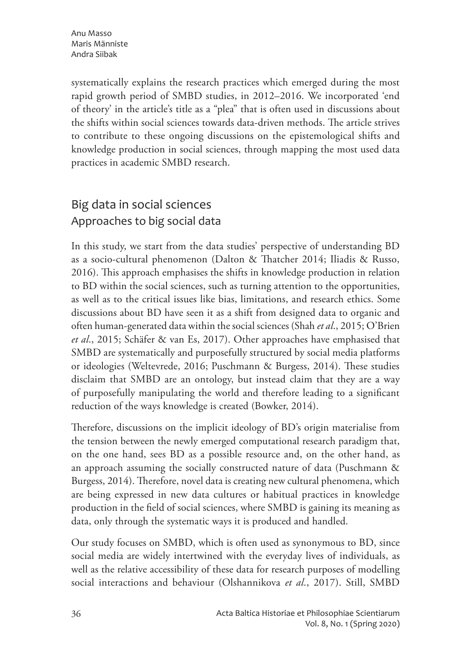systematically explains the research practices which emerged during the most rapid growth period of SMBD studies, in 2012–2016. We incorporated 'end of theory' in the article's title as a "plea" that is often used in discussions about the shifts within social sciences towards data-driven methods. The article strives to contribute to these ongoing discussions on the epistemological shifts and knowledge production in social sciences, through mapping the most used data practices in academic SMBD research.

# Big data in social sciences Approaches to big social data

In this study, we start from the data studies' perspective of understanding BD as a socio-cultural phenomenon (Dalton & Thatcher 2014; Iliadis & Russo, 2016). This approach emphasises the shifts in knowledge production in relation to BD within the social sciences, such as turning attention to the opportunities, as well as to the critical issues like bias, limitations, and research ethics. Some discussions about BD have seen it as a shift from designed data to organic and often human-generated data within the social sciences (Shah *et al*., 2015; O'Brien *et al*., 2015; Schäfer & van Es, 2017). Other approaches have emphasised that SMBD are systematically and purposefully structured by social media platforms or ideologies (Weltevrede, 2016; Puschmann & Burgess, 2014). These studies disclaim that SMBD are an ontology, but instead claim that they are a way of purposefully manipulating the world and therefore leading to a significant reduction of the ways knowledge is created (Bowker, 2014).

Therefore, discussions on the implicit ideology of BD's origin materialise from the tension between the newly emerged computational research paradigm that, on the one hand, sees BD as a possible resource and, on the other hand, as an approach assuming the socially constructed nature of data (Puschmann & Burgess, 2014). Therefore, novel data is creating new cultural phenomena, which are being expressed in new data cultures or habitual practices in knowledge production in the field of social sciences, where SMBD is gaining its meaning as data, only through the systematic ways it is produced and handled.

Our study focuses on SMBD, which is often used as synonymous to BD, since social media are widely intertwined with the everyday lives of individuals, as well as the relative accessibility of these data for research purposes of modelling social interactions and behaviour (Olshannikova *et al*., 2017). Still, SMBD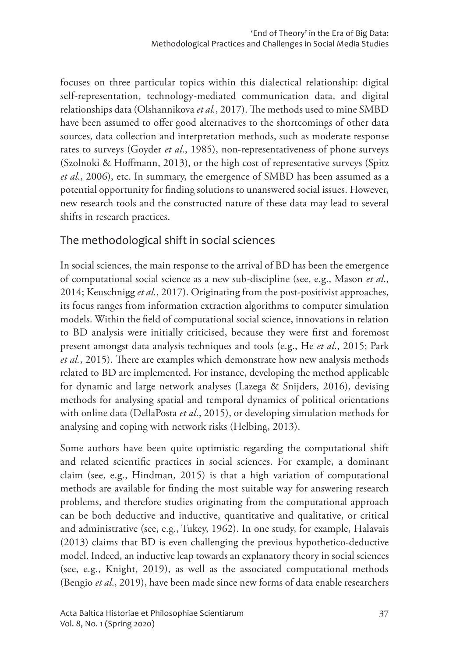focuses on three particular topics within this dialectical relationship: digital self-representation, technology-mediated communication data, and digital relationships data (Olshannikova *et al.*, 2017). The methods used to mine SMBD have been assumed to offer good alternatives to the shortcomings of other data sources, data collection and interpretation methods, such as moderate response rates to surveys (Goyder *et al*., 1985), non-representativeness of phone surveys (Szolnoki & Hoffmann, 2013), or the high cost of representative surveys (Spitz *et al*., 2006), etc. In summary, the emergence of SMBD has been assumed as a potential opportunity for finding solutions to unanswered social issues. However, new research tools and the constructed nature of these data may lead to several shifts in research practices.

### The methodological shift in social sciences

In social sciences, the main response to the arrival of BD has been the emergence of computational social science as a new sub-discipline (see, e.g., Mason *et al*., 2014; Keuschnigg *et al.*, 2017). Originating from the post-positivist approaches, its focus ranges from information extraction algorithms to computer simulation models. Within the field of computational social science, innovations in relation to BD analysis were initially criticised, because they were first and foremost present amongst data analysis techniques and tools (e.g., He *et al*., 2015; Park *et al.*, 2015). There are examples which demonstrate how new analysis methods related to BD are implemented. For instance, developing the method applicable for dynamic and large network analyses (Lazega & Snijders, 2016), devising methods for analysing spatial and temporal dynamics of political orientations with online data (DellaPosta *et al*., 2015), or developing simulation methods for analysing and coping with network risks (Helbing, 2013).

Some authors have been quite optimistic regarding the computational shift and related scientific practices in social sciences. For example, a dominant claim (see, e.g., Hindman, 2015) is that a high variation of computational methods are available for finding the most suitable way for answering research problems, and therefore studies originating from the computational approach can be both deductive and inductive, quantitative and qualitative, or critical and administrative (see, e.g., Tukey, 1962). In one study, for example, Halavais (2013) claims that BD is even challenging the previous hypothetico-deductive model. Indeed, an inductive leap towards an explanatory theory in social sciences (see, e.g., Knight, 2019), as well as the associated computational methods (Bengio *et al*., 2019), have been made since new forms of data enable researchers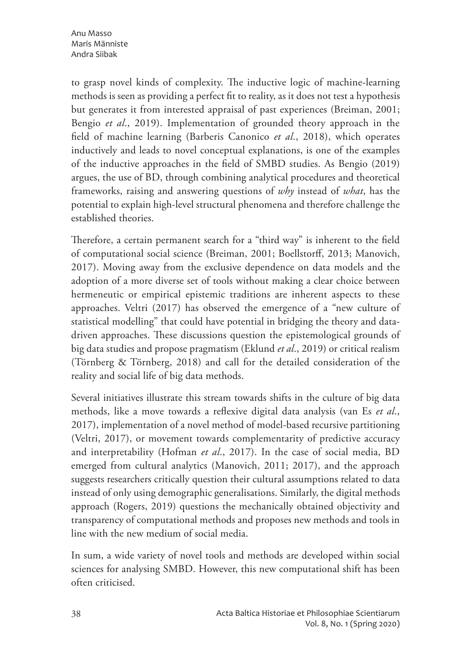Anu Masso Maris Männiste Andra Siibak

to grasp novel kinds of complexity. The inductive logic of machine-learning methods is seen as providing a perfect fit to reality, as it does not test a hypothesis but generates it from interested appraisal of past experiences (Breiman, 2001; Bengio *et al*., 2019). Implementation of grounded theory approach in the field of machine learning (Barberis Canonico *et al*., 2018), which operates inductively and leads to novel conceptual explanations, is one of the examples of the inductive approaches in the field of SMBD studies. As Bengio (2019) argues, the use of BD, through combining analytical procedures and theoretical frameworks, raising and answering questions of *why* instead of *what*, has the potential to explain high-level structural phenomena and therefore challenge the established theories.

Therefore, a certain permanent search for a "third way" is inherent to the field of computational social science (Breiman, 2001; Boellstorff, 2013; Manovich, 2017). Moving away from the exclusive dependence on data models and the adoption of a more diverse set of tools without making a clear choice between hermeneutic or empirical epistemic traditions are inherent aspects to these approaches. Veltri (2017) has observed the emergence of a "new culture of statistical modelling" that could have potential in bridging the theory and datadriven approaches. These discussions question the epistemological grounds of big data studies and propose pragmatism (Eklund *et al*., 2019) or critical realism (Törnberg & Törnberg, 2018) and call for the detailed consideration of the reality and social life of big data methods.

Several initiatives illustrate this stream towards shifts in the culture of big data methods, like a move towards a reflexive digital data analysis (van Es *et al*., 2017), implementation of a novel method of model-based recursive partitioning (Veltri, 2017), or movement towards complementarity of predictive accuracy and interpretability (Hofman *et al*., 2017). In the case of social media, BD emerged from cultural analytics (Manovich, 2011; 2017), and the approach suggests researchers critically question their cultural assumptions related to data instead of only using demographic generalisations. Similarly, the digital methods approach (Rogers, 2019) questions the mechanically obtained objectivity and transparency of computational methods and proposes new methods and tools in line with the new medium of social media.

In sum, a wide variety of novel tools and methods are developed within social sciences for analysing SMBD. However, this new computational shift has been often criticised.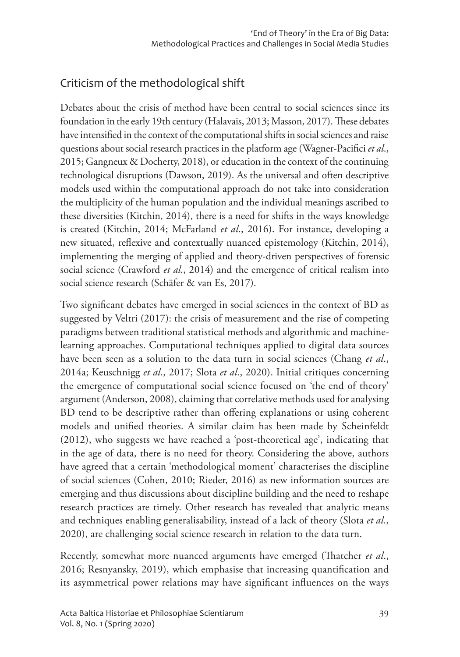# Criticism of the methodological shift

Debates about the crisis of method have been central to social sciences since its foundation in the early 19th century (Halavais, 2013; Masson, 2017). These debates have intensified in the context of the computational shifts in social sciences and raise questions about social research practices in the platform age (Wagner-Pacifici *et al*., 2015; Gangneux & Docherty, 2018), or education in the context of the continuing technological disruptions (Dawson, 2019). As the universal and often descriptive models used within the computational approach do not take into consideration the multiplicity of the human population and the individual meanings ascribed to these diversities (Kitchin, 2014), there is a need for shifts in the ways knowledge is created (Kitchin, 2014; McFarland *et al*., 2016). For instance, developing a new situated, reflexive and contextually nuanced epistemology (Kitchin, 2014), implementing the merging of applied and theory-driven perspectives of forensic social science (Crawford *et al*., 2014) and the emergence of critical realism into social science research (Schäfer & van Es, 2017).

Two significant debates have emerged in social sciences in the context of BD as suggested by Veltri (2017): the crisis of measurement and the rise of competing paradigms between traditional statistical methods and algorithmic and machinelearning approaches. Computational techniques applied to digital data sources have been seen as a solution to the data turn in social sciences (Chang *et al*., 2014a; Keuschnigg *et al*., 2017; Slota *et al*., 2020). Initial critiques concerning the emergence of computational social science focused on 'the end of theory' argument (Anderson, 2008), claiming that correlative methods used for analysing BD tend to be descriptive rather than offering explanations or using coherent models and unified theories. A similar claim has been made by Scheinfeldt (2012), who suggests we have reached a 'post-theoretical age', indicating that in the age of data, there is no need for theory. Considering the above, authors have agreed that a certain 'methodological moment' characterises the discipline of social sciences (Cohen, 2010; Rieder, 2016) as new information sources are emerging and thus discussions about discipline building and the need to reshape research practices are timely. Other research has revealed that analytic means and techniques enabling generalisability, instead of a lack of theory (Slota *et al*., 2020), are challenging social science research in relation to the data turn.

Recently, somewhat more nuanced arguments have emerged (Thatcher *et al*., 2016; Resnyansky, 2019), which emphasise that increasing quantification and its asymmetrical power relations may have significant influences on the ways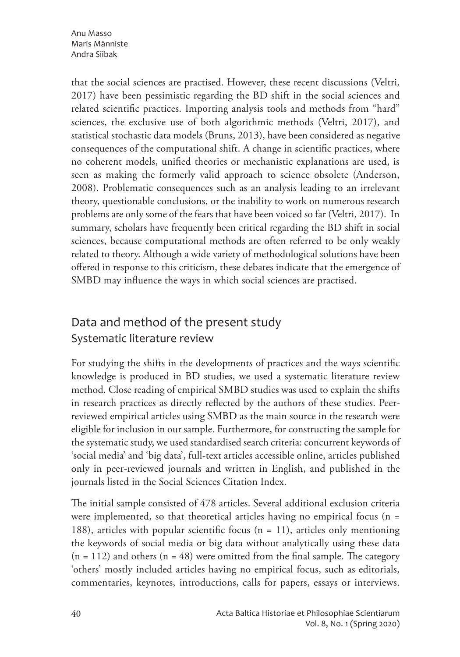Anu Masso Maris Männiste Andra Siibak

that the social sciences are practised. However, these recent discussions (Veltri, 2017) have been pessimistic regarding the BD shift in the social sciences and related scientific practices. Importing analysis tools and methods from "hard" sciences, the exclusive use of both algorithmic methods (Veltri, 2017), and statistical stochastic data models (Bruns, 2013), have been considered as negative consequences of the computational shift. A change in scientific practices, where no coherent models, unified theories or mechanistic explanations are used, is seen as making the formerly valid approach to science obsolete (Anderson, 2008). Problematic consequences such as an analysis leading to an irrelevant theory, questionable conclusions, or the inability to work on numerous research problems are only some of the fears that have been voiced so far (Veltri, 2017). In summary, scholars have frequently been critical regarding the BD shift in social sciences, because computational methods are often referred to be only weakly related to theory. Although a wide variety of methodological solutions have been offered in response to this criticism, these debates indicate that the emergence of SMBD may influence the ways in which social sciences are practised.

# Data and method of the present study Systematic literature review

For studying the shifts in the developments of practices and the ways scientific knowledge is produced in BD studies, we used a systematic literature review method. Close reading of empirical SMBD studies was used to explain the shifts in research practices as directly reflected by the authors of these studies. Peerreviewed empirical articles using SMBD as the main source in the research were eligible for inclusion in our sample. Furthermore, for constructing the sample for the systematic study, we used standardised search criteria: concurrent keywords of 'social media' and 'big data', full-text articles accessible online, articles published only in peer-reviewed journals and written in English, and published in the journals listed in the Social Sciences Citation Index.

The initial sample consisted of 478 articles. Several additional exclusion criteria were implemented, so that theoretical articles having no empirical focus (n = 188), articles with popular scientific focus ( $n = 11$ ), articles only mentioning the keywords of social media or big data without analytically using these data  $(n = 112)$  and others  $(n = 48)$  were omitted from the final sample. The category 'others' mostly included articles having no empirical focus, such as editorials, commentaries, keynotes, introductions, calls for papers, essays or interviews.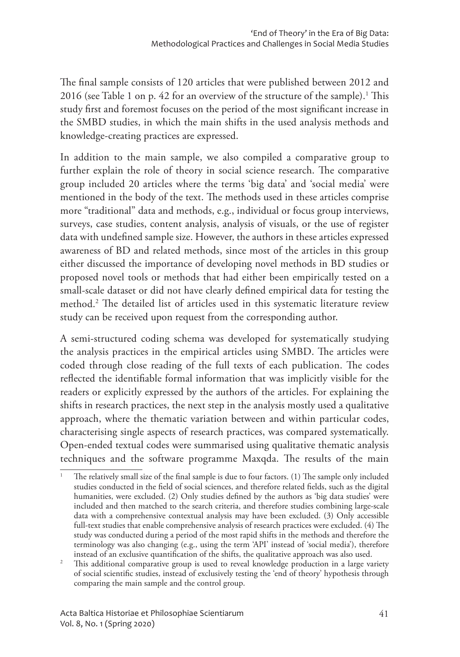The final sample consists of 120 articles that were published between 2012 and 2016 (see Table 1 on p. 42 for an overview of the structure of the sample). $^1$  This study first and foremost focuses on the period of the most significant increase in the SMBD studies, in which the main shifts in the used analysis methods and knowledge-creating practices are expressed.

In addition to the main sample, we also compiled a comparative group to further explain the role of theory in social science research. The comparative group included 20 articles where the terms 'big data' and 'social media' were mentioned in the body of the text. The methods used in these articles comprise more "traditional" data and methods, e.g., individual or focus group interviews, surveys, case studies, content analysis, analysis of visuals, or the use of register data with undefined sample size. However, the authors in these articles expressed awareness of BD and related methods, since most of the articles in this group either discussed the importance of developing novel methods in BD studies or proposed novel tools or methods that had either been empirically tested on a small-scale dataset or did not have clearly defined empirical data for testing the method.2 The detailed list of articles used in this systematic literature review study can be received upon request from the corresponding author.

A semi-structured coding schema was developed for systematically studying the analysis practices in the empirical articles using SMBD. The articles were coded through close reading of the full texts of each publication. The codes reflected the identifiable formal information that was implicitly visible for the readers or explicitly expressed by the authors of the articles. For explaining the shifts in research practices, the next step in the analysis mostly used a qualitative approach, where the thematic variation between and within particular codes, characterising single aspects of research practices, was compared systematically. Open-ended textual codes were summarised using qualitative thematic analysis techniques and the software programme Maxqda. The results of the main

The relatively small size of the final sample is due to four factors. (1) The sample only included studies conducted in the field of social sciences, and therefore related fields, such as the digital humanities, were excluded. (2) Only studies defined by the authors as 'big data studies' were included and then matched to the search criteria, and therefore studies combining large-scale data with a comprehensive contextual analysis may have been excluded. (3) Only accessible full-text studies that enable comprehensive analysis of research practices were excluded. (4) The study was conducted during a period of the most rapid shifts in the methods and therefore the terminology was also changing (e.g., using the term 'API' instead of 'social media'), therefore instead of an exclusive quantification of the shifts, the qualitative approach was also used. 2 This additional comparative group is used to reveal knowledge production in a large variety

of social scientific studies, instead of exclusively testing the 'end of theory' hypothesis through comparing the main sample and the control group.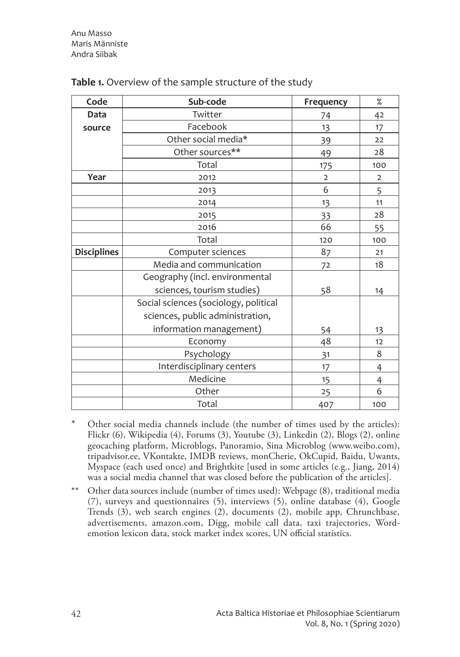| Code               | Sub-code                              | Frequency      | $\%$           |
|--------------------|---------------------------------------|----------------|----------------|
| Data               | Twitter                               | 74             | 42             |
| source             | Facebook                              | 13             | 17             |
|                    | Other social media*                   | 39             | 22             |
|                    | Other sources**                       | 49             | 28             |
|                    | Total                                 | 175            | 100            |
| Year               | 2012                                  | $\overline{2}$ | $\overline{2}$ |
|                    | 2013                                  | 6              | 5              |
|                    | 2014                                  | 13             | 11             |
|                    | 2015                                  | 33             | 28             |
|                    | 2016                                  | 66             | 55             |
|                    | Total                                 | 120            | 100            |
| <b>Disciplines</b> | Computer sciences                     | 87             | 21             |
|                    | Media and communication               | 72             | 18             |
|                    | Geography (incl. environmental        |                |                |
|                    | sciences, tourism studies)            | 58             | 14             |
|                    | Social sciences (sociology, political |                |                |
|                    | sciences, public administration,      |                |                |
|                    | information management)               | 54             | 13             |
|                    | Economy                               | 48             | 12             |
|                    | Psychology                            | 31             | 8              |
|                    | Interdisciplinary centers             | 17             | 4              |
|                    | Medicine                              | 15             | 4              |
|                    | Other                                 | 25             | 6              |
|                    | Total                                 | 407            | 100            |

#### **Table 1.** Overview of the sample structure of the study

- Other social media channels include (the number of times used by the articles): Flickr (6), Wikipedia (4), Forums (3), Youtube (3), Linkedin (2), Blogs (2), online geocaching platform, Microblogs, Panoramio, Sina Microblog (www.weibo.com), tripadvisor.ee, VKontakte, IMDB reviews, monCherie, OkCupid, Baidu, Uwants, Myspace (each used once) and Brightkite [used in some articles (e.g., Jiang, 2014) was a social media channel that was closed before the publication of the articles].
- \*\* Other data sources include (number of times used): Webpage (8), traditional media (7), surveys and questionnaires (5), interviews (5), online database (4), Google Trends (3), web search engines (2), documents (2), mobile app, Chrunchbase, advertisements, amazon.com, Digg, mobile call data, taxi trajectories, Wordemotion lexicon data, stock market index scores, UN official statistics.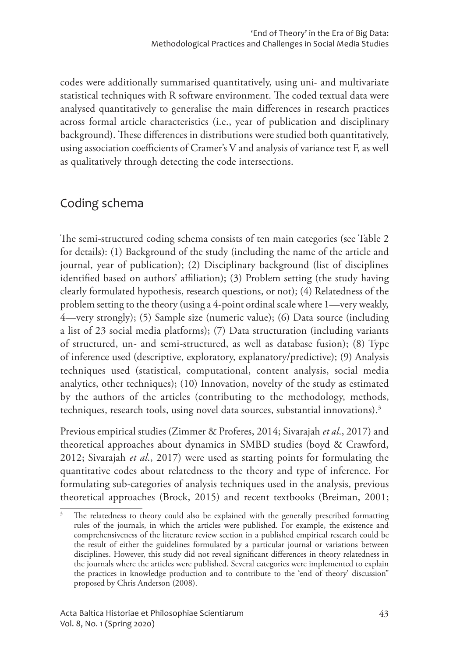codes were additionally summarised quantitatively, using uni- and multivariate statistical techniques with R software environment. The coded textual data were analysed quantitatively to generalise the main differences in research practices across formal article characteristics (i.e., year of publication and disciplinary background). These differences in distributions were studied both quantitatively, using association coefficients of Cramer's V and analysis of variance test F, as well as qualitatively through detecting the code intersections.

### Coding schema

The semi-structured coding schema consists of ten main categories (see Table 2 for details): (1) Background of the study (including the name of the article and journal, year of publication); (2) Disciplinary background (list of disciplines identified based on authors' affiliation); (3) Problem setting (the study having clearly formulated hypothesis, research questions, or not); (4) Relatedness of the problem setting to the theory (using a 4-point ordinal scale where 1—very weakly, 4—very strongly); (5) Sample size (numeric value); (6) Data source (including a list of 23 social media platforms); (7) Data structuration (including variants of structured, un- and semi-structured, as well as database fusion); (8) Type of inference used (descriptive, exploratory, explanatory/predictive); (9) Analysis techniques used (statistical, computational, content analysis, social media analytics, other techniques); (10) Innovation, novelty of the study as estimated by the authors of the articles (contributing to the methodology, methods, techniques, research tools, using novel data sources, substantial innovations).3

Previous empirical studies (Zimmer & Proferes, 2014; Sivarajah *et al*., 2017) and theoretical approaches about dynamics in SMBD studies (boyd & Crawford, 2012; Sivarajah *et al*., 2017) were used as starting points for formulating the quantitative codes about relatedness to the theory and type of inference. For formulating sub-categories of analysis techniques used in the analysis, previous theoretical approaches (Brock, 2015) and recent textbooks (Breiman, 2001;

The relatedness to theory could also be explained with the generally prescribed formatting rules of the journals, in which the articles were published. For example, the existence and comprehensiveness of the literature review section in a published empirical research could be the result of either the guidelines formulated by a particular journal or variations between disciplines. However, this study did not reveal significant differences in theory relatedness in the journals where the articles were published. Several categories were implemented to explain the practices in knowledge production and to contribute to the 'end of theory' discussion" proposed by Chris Anderson (2008).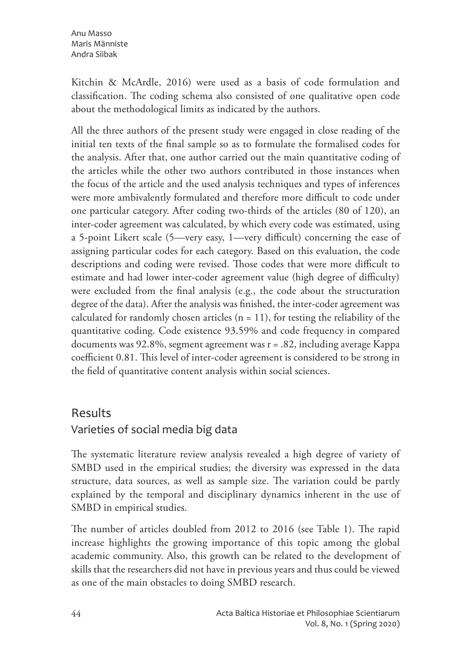Kitchin & McArdle, 2016) were used as a basis of code formulation and classification. The coding schema also consisted of one qualitative open code about the methodological limits as indicated by the authors.

All the three authors of the present study were engaged in close reading of the initial ten texts of the final sample so as to formulate the formalised codes for the analysis. After that, one author carried out the main quantitative coding of the articles while the other two authors contributed in those instances when the focus of the article and the used analysis techniques and types of inferences were more ambivalently formulated and therefore more difficult to code under one particular category. After coding two-thirds of the articles (80 of 120), an inter-coder agreement was calculated, by which every code was estimated, using a 5-point Likert scale (5—very easy, 1—very difficult) concerning the ease of assigning particular codes for each category. Based on this evaluation, the code descriptions and coding were revised. Those codes that were more difficult to estimate and had lower inter-coder agreement value (high degree of difficulty) were excluded from the final analysis (e.g., the code about the structuration degree of the data). After the analysis was finished, the inter-coder agreement was calculated for randomly chosen articles  $(n = 11)$ , for testing the reliability of the quantitative coding. Code existence 93.59% and code frequency in compared documents was 92.8%, segment agreement was r = .82, including average Kappa coefficient 0.81. This level of inter-coder agreement is considered to be strong in the field of quantitative content analysis within social sciences.

### Results

### Varieties of social media big data

The systematic literature review analysis revealed a high degree of variety of SMBD used in the empirical studies; the diversity was expressed in the data structure, data sources, as well as sample size. The variation could be partly explained by the temporal and disciplinary dynamics inherent in the use of SMBD in empirical studies.

The number of articles doubled from 2012 to 2016 (see Table 1). The rapid increase highlights the growing importance of this topic among the global academic community. Also, this growth can be related to the development of skills that the researchers did not have in previous years and thus could be viewed as one of the main obstacles to doing SMBD research.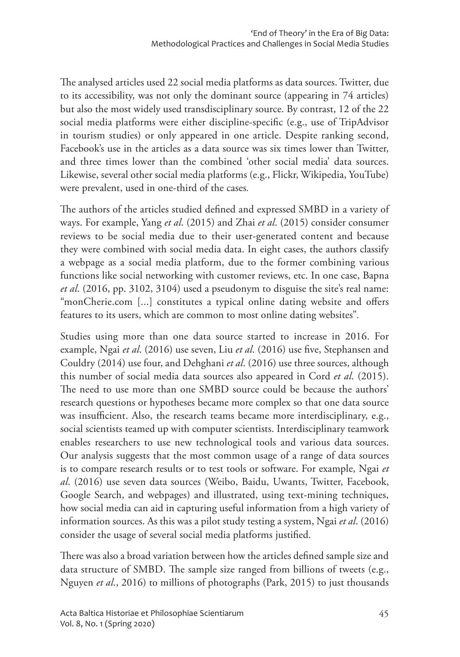The analysed articles used 22 social media platforms as data sources. Twitter, due to its accessibility, was not only the dominant source (appearing in 74 articles) but also the most widely used transdisciplinary source. By contrast, 12 of the 22 social media platforms were either discipline-specific (e.g., use of TripAdvisor in tourism studies) or only appeared in one article. Despite ranking second, Facebook's use in the articles as a data source was six times lower than Twitter, and three times lower than the combined 'other social media' data sources. Likewise, several other social media platforms (e.g., Flickr, Wikipedia, YouTube) were prevalent, used in one-third of the cases*.* 

The authors of the articles studied defined and expressed SMBD in a variety of ways. For example, Yang *et al*. (2015) and Zhai *et al*. (2015) consider consumer reviews to be social media due to their user-generated content and because they were combined with social media data. In eight cases, the authors classify a webpage as a social media platform, due to the former combining various functions like social networking with customer reviews, etc. In one case, Bapna *et al*. (2016, pp. 3102, 3104) used a pseudonym to disguise the site's real name: "monCherie.com [...] constitutes a typical online dating website and offers features to its users, which are common to most online dating websites"*.* 

Studies using more than one data source started to increase in 2016. For example, Ngai *et al*. (2016) use seven, Liu *et al*. (2016) use five, Stephansen and Couldry (2014) use four, and Dehghani *et al*. (2016) use three sources, although this number of social media data sources also appeared in Cord *et al*. (2015). The need to use more than one SMBD source could be because the authors' research questions or hypotheses became more complex so that one data source was insufficient. Also, the research teams became more interdisciplinary, e.g., social scientists teamed up with computer scientists. Interdisciplinary teamwork enables researchers to use new technological tools and various data sources. Our analysis suggests that the most common usage of a range of data sources is to compare research results or to test tools or software. For example, Ngai *et al*. (2016) use seven data sources (Weibo, Baidu, Uwants, Twitter, Facebook, Google Search, and webpages) and illustrated, using text-mining techniques, how social media can aid in capturing useful information from a high variety of information sources. As this was a pilot study testing a system, Ngai *et al*. (2016) consider the usage of several social media platforms justified.

There was also a broad variation between how the articles defined sample size and data structure of SMBD. The sample size ranged from billions of tweets (e.g., Nguyen *et al*., 2016) to millions of photographs (Park, 2015) to just thousands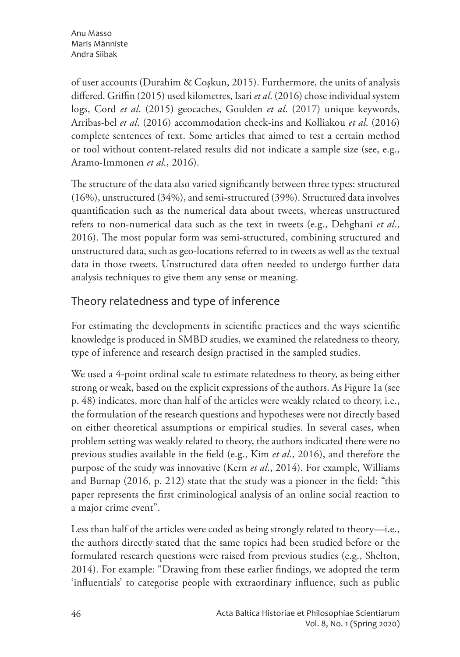of user accounts (Durahim & Coşkun, 2015). Furthermore, the units of analysis differed. Griffin (2015) used kilometres, Isari *et al*. (2016) chose individual system logs, Cord *et al*. (2015) geocaches, Goulden *et al*. (2017) unique keywords, Arribas-bel *et al*. (2016) accommodation check-ins and Kolliakou *et al*. (2016) complete sentences of text. Some articles that aimed to test a certain method or tool without content-related results did not indicate a sample size (see, e.g., Aramo-Immonen *et al*., 2016).

The structure of the data also varied significantly between three types: structured (16%), unstructured (34%), and semi-structured (39%). Structured data involves quantification such as the numerical data about tweets, whereas unstructured refers to non-numerical data such as the text in tweets (e.g., Dehghani *et al*., 2016). The most popular form was semi-structured, combining structured and unstructured data, such as geo-locations referred to in tweets as well as the textual data in those tweets. Unstructured data often needed to undergo further data analysis techniques to give them any sense or meaning.

### Theory relatedness and type of inference

For estimating the developments in scientific practices and the ways scientific knowledge is produced in SMBD studies, we examined the relatedness to theory, type of inference and research design practised in the sampled studies.

We used a 4-point ordinal scale to estimate relatedness to theory, as being either strong or weak, based on the explicit expressions of the authors. As Figure 1a (see p. 48) indicates, more than half of the articles were weakly related to theory, i.e., the formulation of the research questions and hypotheses were not directly based on either theoretical assumptions or empirical studies. In several cases, when problem setting was weakly related to theory, the authors indicated there were no previous studies available in the field (e.g., Kim *et al*., 2016), and therefore the purpose of the study was innovative (Kern *et al*., 2014). For example, Williams and Burnap (2016, p. 212) state that the study was a pioneer in the field: "this paper represents the first criminological analysis of an online social reaction to a major crime event".

Less than half of the articles were coded as being strongly related to theory—i.e., the authors directly stated that the same topics had been studied before or the formulated research questions were raised from previous studies (e.g., Shelton, 2014). For example: "Drawing from these earlier findings, we adopted the term 'influentials' to categorise people with extraordinary influence, such as public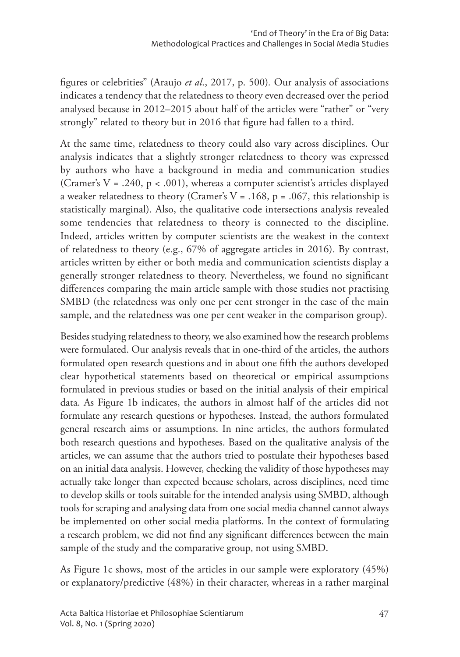figures or celebrities" (Araujo *et al*., 2017, p. 500)*.* Our analysis of associations indicates a tendency that the relatedness to theory even decreased over the period analysed because in 2012–2015 about half of the articles were "rather" or "very strongly" related to theory but in 2016 that figure had fallen to a third.

At the same time, relatedness to theory could also vary across disciplines. Our analysis indicates that a slightly stronger relatedness to theory was expressed by authors who have a background in media and communication studies (Cramer's  $V = .240$ ,  $p < .001$ ), whereas a computer scientist's articles displayed a weaker relatedness to theory (Cramer's  $V = .168$ ,  $p = .067$ , this relationship is statistically marginal). Also, the qualitative code intersections analysis revealed some tendencies that relatedness to theory is connected to the discipline. Indeed, articles written by computer scientists are the weakest in the context of relatedness to theory (e.g., 67% of aggregate articles in 2016). By contrast, articles written by either or both media and communication scientists display a generally stronger relatedness to theory. Nevertheless, we found no significant differences comparing the main article sample with those studies not practising SMBD (the relatedness was only one per cent stronger in the case of the main sample, and the relatedness was one per cent weaker in the comparison group).

Besides studying relatedness to theory, we also examined how the research problems were formulated. Our analysis reveals that in one-third of the articles, the authors formulated open research questions and in about one fifth the authors developed clear hypothetical statements based on theoretical or empirical assumptions formulated in previous studies or based on the initial analysis of their empirical data. As Figure 1b indicates, the authors in almost half of the articles did not formulate any research questions or hypotheses. Instead, the authors formulated general research aims or assumptions. In nine articles, the authors formulated both research questions and hypotheses. Based on the qualitative analysis of the articles, we can assume that the authors tried to postulate their hypotheses based on an initial data analysis. However, checking the validity of those hypotheses may actually take longer than expected because scholars, across disciplines, need time to develop skills or tools suitable for the intended analysis using SMBD, although tools for scraping and analysing data from one social media channel cannot always be implemented on other social media platforms. In the context of formulating a research problem, we did not find any significant differences between the main sample of the study and the comparative group, not using SMBD.

As Figure 1c shows, most of the articles in our sample were exploratory (45%) or explanatory/predictive (48%) in their character, whereas in a rather marginal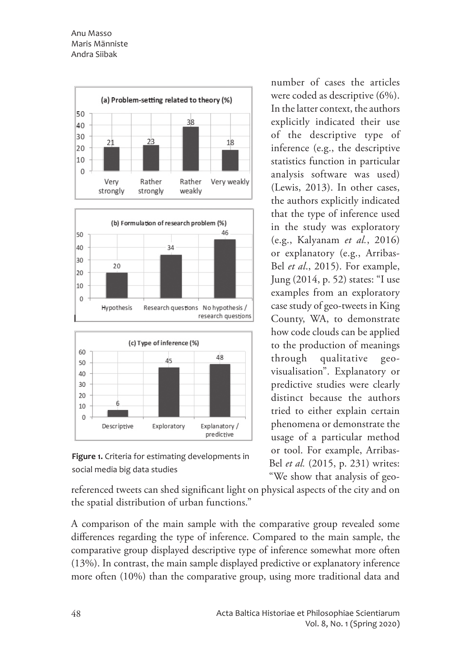





referenced tweets can shed significant light on physical aspects of the city and on the spatial distribution of urban functions."

A comparison of the main sample with the comparative group revealed some differences regarding the type of inference. Compared to the main sample, the comparative group displayed descriptive type of inference somewhat more often (13%). In contrast, the main sample displayed predictive or explanatory inference more often (10%) than the comparative group, using more traditional data and

number of cases the articles were coded as descriptive (6%). In the latter context, the authors explicitly indicated their use of the descriptive type of inference (e.g., the descriptive statistics function in particular analysis software was used) (Lewis, 2013). In other cases, the authors explicitly indicated that the type of inference used in the study was exploratory (e.g., Kalyanam *et al.*, 2016) or explanatory (e.g., Arribas-Bel *et al*., 2015). For example, Jung (2014, p. 52) states: "I use examples from an exploratory case study of geo-tweets in King County, WA, to demonstrate how code clouds can be applied to the production of meanings through qualitative geovisualisation". Explanatory or predictive studies were clearly distinct because the authors tried to either explain certain phenomena or demonstrate the usage of a particular method or tool. For example, Arribas-Bel *et al.* (2015, p. 231) writes: "We show that analysis of geo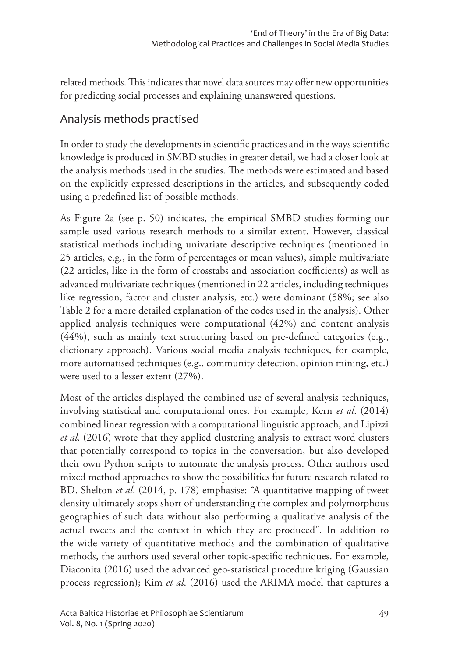related methods. This indicates that novel data sources may offer new opportunities for predicting social processes and explaining unanswered questions.

### Analysis methods practised

In order to study the developments in scientific practices and in the ways scientific knowledge is produced in SMBD studies in greater detail, we had a closer look at the analysis methods used in the studies. The methods were estimated and based on the explicitly expressed descriptions in the articles, and subsequently coded using a predefined list of possible methods.

As Figure 2a (see p. 50) indicates, the empirical SMBD studies forming our sample used various research methods to a similar extent. However, classical statistical methods including univariate descriptive techniques (mentioned in 25 articles, e.g., in the form of percentages or mean values), simple multivariate (22 articles, like in the form of crosstabs and association coefficients) as well as advanced multivariate techniques (mentioned in 22 articles, including techniques like regression, factor and cluster analysis, etc.) were dominant (58%; see also Table 2 for a more detailed explanation of the codes used in the analysis). Other applied analysis techniques were computational (42%) and content analysis (44%), such as mainly text structuring based on pre-defined categories (e.g., dictionary approach). Various social media analysis techniques, for example, more automatised techniques (e.g., community detection, opinion mining, etc.) were used to a lesser extent (27%).

Most of the articles displayed the combined use of several analysis techniques, involving statistical and computational ones. For example, Kern *et al*. (2014) combined linear regression with a computational linguistic approach, and Lipizzi *et al*. (2016) wrote that they applied clustering analysis to extract word clusters that potentially correspond to topics in the conversation, but also developed their own Python scripts to automate the analysis process. Other authors used mixed method approaches to show the possibilities for future research related to BD. Shelton *et al*. (2014, p. 178) emphasise: "A quantitative mapping of tweet density ultimately stops short of understanding the complex and polymorphous geographies of such data without also performing a qualitative analysis of the actual tweets and the context in which they are produced"*.* In addition to the wide variety of quantitative methods and the combination of qualitative methods, the authors used several other topic-specific techniques. For example, Diaconita (2016) used the advanced geo-statistical procedure kriging (Gaussian process regression); Kim *et al*. (2016) used the ARIMA model that captures a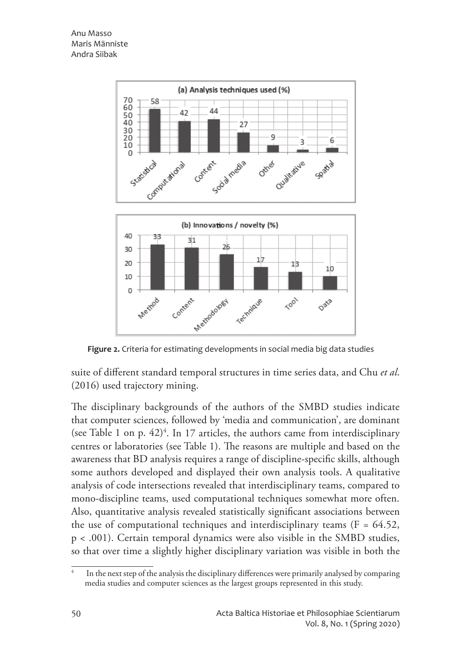

**Figure 2.** Criteria for estimating developments in social media big data studies

suite of different standard temporal structures in time series data, and Chu *et al*. (2016) used trajectory mining.

The disciplinary backgrounds of the authors of the SMBD studies indicate that computer sciences, followed by 'media and communication', are dominant (see Table 1 on p.  $42)^4$ . In 17 articles, the authors came from interdisciplinary centres or laboratories (see Table 1). The reasons are multiple and based on the awareness that BD analysis requires a range of discipline-specific skills, although some authors developed and displayed their own analysis tools. A qualitative analysis of code intersections revealed that interdisciplinary teams, compared to mono-discipline teams, used computational techniques somewhat more often. Also, quantitative analysis revealed statistically significant associations between the use of computational techniques and interdisciplinary teams ( $F = 64.52$ , p < .001). Certain temporal dynamics were also visible in the SMBD studies, so that over time a slightly higher disciplinary variation was visible in both the

In the next step of the analysis the disciplinary differences were primarily analysed by comparing media studies and computer sciences as the largest groups represented in this study.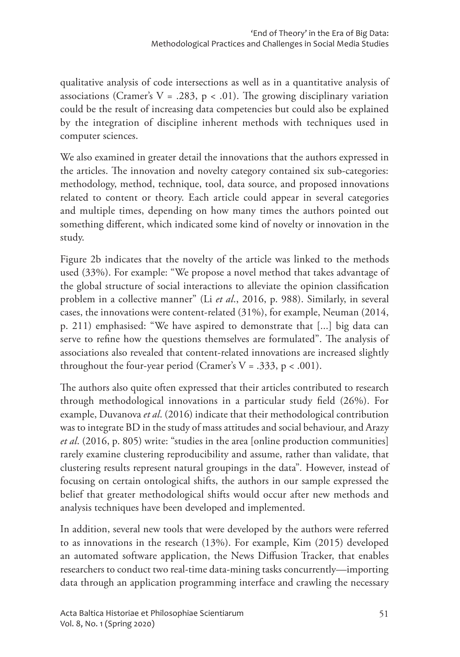qualitative analysis of code intersections as well as in a quantitative analysis of associations (Cramer's  $V = .283$ ,  $p < .01$ ). The growing disciplinary variation could be the result of increasing data competencies but could also be explained by the integration of discipline inherent methods with techniques used in computer sciences.

We also examined in greater detail the innovations that the authors expressed in the articles. The innovation and novelty category contained six sub-categories: methodology, method, technique, tool, data source, and proposed innovations related to content or theory. Each article could appear in several categories and multiple times, depending on how many times the authors pointed out something different, which indicated some kind of novelty or innovation in the study.

Figure 2b indicates that the novelty of the article was linked to the methods used (33%). For example: "We propose a novel method that takes advantage of the global structure of social interactions to alleviate the opinion classification problem in a collective manner" (Li *et al*., 2016, p. 988). Similarly, in several cases, the innovations were content-related (31%), for example, Neuman (2014, p. 211) emphasised: "We have aspired to demonstrate that [...] big data can serve to refine how the questions themselves are formulated". The analysis of associations also revealed that content-related innovations are increased slightly throughout the four-year period (Cramer's  $V = .333$ ,  $p < .001$ ).

The authors also quite often expressed that their articles contributed to research through methodological innovations in a particular study field (26%). For example, Duvanova *et al*. (2016) indicate that their methodological contribution was to integrate BD in the study of mass attitudes and social behaviour, and Arazy *et al*. (2016, p. 805) write: "studies in the area [online production communities] rarely examine clustering reproducibility and assume, rather than validate, that clustering results represent natural groupings in the data"*.* However, instead of focusing on certain ontological shifts, the authors in our sample expressed the belief that greater methodological shifts would occur after new methods and analysis techniques have been developed and implemented.

In addition, several new tools that were developed by the authors were referred to as innovations in the research (13%). For example, Kim (2015) developed an automated software application, the News Diffusion Tracker, that enables researchers to conduct two real-time data-mining tasks concurrently—importing data through an application programming interface and crawling the necessary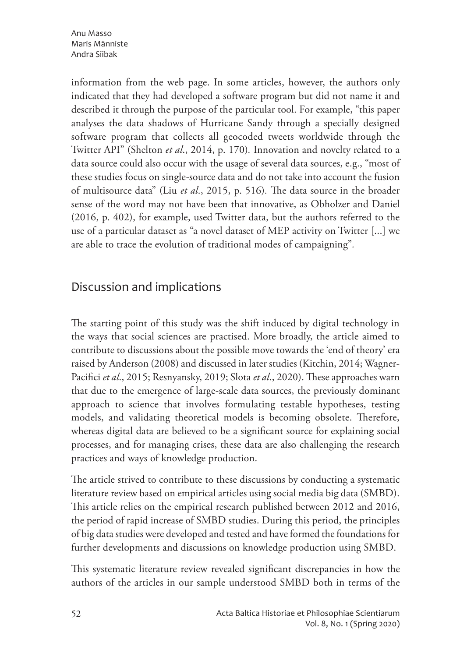Anu Masso Maris Männiste Andra Siibak

information from the web page. In some articles, however, the authors only indicated that they had developed a software program but did not name it and described it through the purpose of the particular tool. For example, "this paper analyses the data shadows of Hurricane Sandy through a specially designed software program that collects all geocoded tweets worldwide through the Twitter API" (Shelton *et al*., 2014, p. 170)*.* Innovation and novelty related to a data source could also occur with the usage of several data sources, e.g., "most of these studies focus on single-source data and do not take into account the fusion of multisource data" (Liu *et al*., 2015, p. 516)*.* The data source in the broader sense of the word may not have been that innovative, as Obholzer and Daniel (2016, p. 402), for example, used Twitter data, but the authors referred to the use of a particular dataset as "a novel dataset of MEP activity on Twitter [...] we are able to trace the evolution of traditional modes of campaigning"*.* 

### Discussion and implications

The starting point of this study was the shift induced by digital technology in the ways that social sciences are practised. More broadly, the article aimed to contribute to discussions about the possible move towards the 'end of theory' era raised by Anderson (2008) and discussed in later studies (Kitchin, 2014; Wagner-Pacifici *et al*., 2015; Resnyansky, 2019; Slota *et al*., 2020). These approaches warn that due to the emergence of large-scale data sources, the previously dominant approach to science that involves formulating testable hypotheses, testing models, and validating theoretical models is becoming obsolete. Therefore, whereas digital data are believed to be a significant source for explaining social processes, and for managing crises, these data are also challenging the research practices and ways of knowledge production.

The article strived to contribute to these discussions by conducting a systematic literature review based on empirical articles using social media big data (SMBD). This article relies on the empirical research published between 2012 and 2016, the period of rapid increase of SMBD studies. During this period, the principles of big data studies were developed and tested and have formed the foundations for further developments and discussions on knowledge production using SMBD.

This systematic literature review revealed significant discrepancies in how the authors of the articles in our sample understood SMBD both in terms of the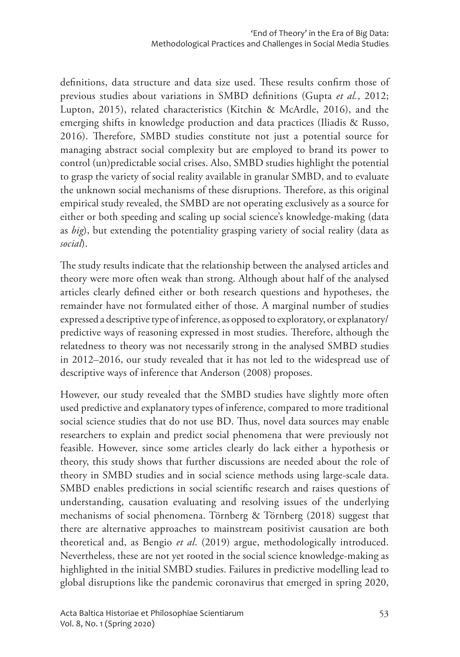definitions, data structure and data size used. These results confirm those of previous studies about variations in SMBD definitions (Gupta *et al.*, 2012; Lupton, 2015), related characteristics (Kitchin & McArdle, 2016), and the emerging shifts in knowledge production and data practices (Iliadis & Russo, 2016). Therefore, SMBD studies constitute not just a potential source for managing abstract social complexity but are employed to brand its power to control (un)predictable social crises. Also, SMBD studies highlight the potential to grasp the variety of social reality available in granular SMBD, and to evaluate the unknown social mechanisms of these disruptions. Therefore, as this original empirical study revealed, the SMBD are not operating exclusively as a source for either or both speeding and scaling up social science's knowledge-making (data as *big*), but extending the potentiality grasping variety of social reality (data as *social*).

The study results indicate that the relationship between the analysed articles and theory were more often weak than strong. Although about half of the analysed articles clearly defined either or both research questions and hypotheses, the remainder have not formulated either of those. A marginal number of studies expressed a descriptive type of inference, as opposed to exploratory, or explanatory/ predictive ways of reasoning expressed in most studies. Therefore, although the relatedness to theory was not necessarily strong in the analysed SMBD studies in 2012–2016, our study revealed that it has not led to the widespread use of descriptive ways of inference that Anderson (2008) proposes.

However, our study revealed that the SMBD studies have slightly more often used predictive and explanatory types of inference, compared to more traditional social science studies that do not use BD. Thus, novel data sources may enable researchers to explain and predict social phenomena that were previously not feasible. However, since some articles clearly do lack either a hypothesis or theory, this study shows that further discussions are needed about the role of theory in SMBD studies and in social science methods using large-scale data. SMBD enables predictions in social scientific research and raises questions of understanding, causation evaluating and resolving issues of the underlying mechanisms of social phenomena. Törnberg & Törnberg (2018) suggest that there are alternative approaches to mainstream positivist causation are both theoretical and, as Bengio *et al*. (2019) argue, methodologically introduced. Nevertheless, these are not yet rooted in the social science knowledge-making as highlighted in the initial SMBD studies. Failures in predictive modelling lead to global disruptions like the pandemic coronavirus that emerged in spring 2020,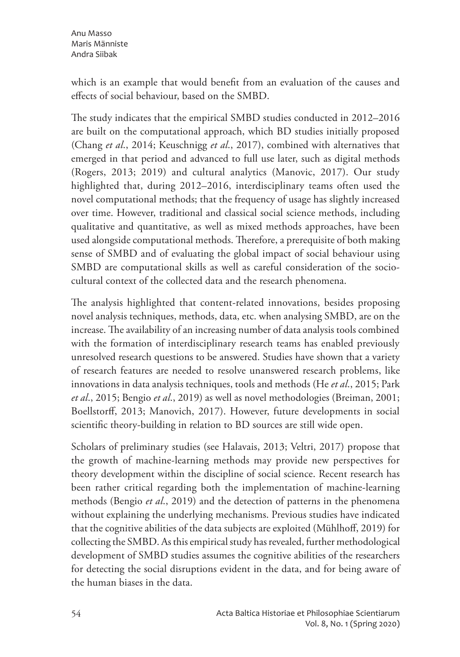which is an example that would benefit from an evaluation of the causes and effects of social behaviour, based on the SMBD.

The study indicates that the empirical SMBD studies conducted in 2012–2016 are built on the computational approach, which BD studies initially proposed (Chang *et al*., 2014; Keuschnigg *et al*., 2017), combined with alternatives that emerged in that period and advanced to full use later, such as digital methods (Rogers, 2013; 2019) and cultural analytics (Manovic, 2017). Our study highlighted that, during 2012–2016, interdisciplinary teams often used the novel computational methods; that the frequency of usage has slightly increased over time. However, traditional and classical social science methods, including qualitative and quantitative, as well as mixed methods approaches, have been used alongside computational methods. Therefore, a prerequisite of both making sense of SMBD and of evaluating the global impact of social behaviour using SMBD are computational skills as well as careful consideration of the sociocultural context of the collected data and the research phenomena.

The analysis highlighted that content-related innovations, besides proposing novel analysis techniques, methods, data, etc. when analysing SMBD, are on the increase. The availability of an increasing number of data analysis tools combined with the formation of interdisciplinary research teams has enabled previously unresolved research questions to be answered. Studies have shown that a variety of research features are needed to resolve unanswered research problems, like innovations in data analysis techniques, tools and methods (He *et al*., 2015; Park *et al*., 2015; Bengio *et al*., 2019) as well as novel methodologies (Breiman, 2001; Boellstorff, 2013; Manovich, 2017). However, future developments in social scientific theory-building in relation to BD sources are still wide open.

Scholars of preliminary studies (see Halavais, 2013; Veltri, 2017) propose that the growth of machine-learning methods may provide new perspectives for theory development within the discipline of social science. Recent research has been rather critical regarding both the implementation of machine-learning methods (Bengio *et al*., 2019) and the detection of patterns in the phenomena without explaining the underlying mechanisms. Previous studies have indicated that the cognitive abilities of the data subjects are exploited (Mühlhoff, 2019) for collecting the SMBD. As this empirical study has revealed, further methodological development of SMBD studies assumes the cognitive abilities of the researchers for detecting the social disruptions evident in the data, and for being aware of the human biases in the data.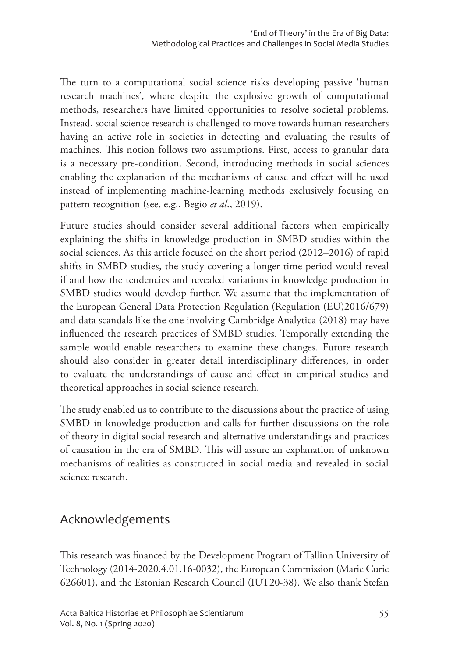The turn to a computational social science risks developing passive 'human research machines', where despite the explosive growth of computational methods, researchers have limited opportunities to resolve societal problems. Instead, social science research is challenged to move towards human researchers having an active role in societies in detecting and evaluating the results of machines. This notion follows two assumptions. First, access to granular data is a necessary pre-condition. Second, introducing methods in social sciences enabling the explanation of the mechanisms of cause and effect will be used instead of implementing machine-learning methods exclusively focusing on pattern recognition (see, e.g., Begio *et al*., 2019).

Future studies should consider several additional factors when empirically explaining the shifts in knowledge production in SMBD studies within the social sciences. As this article focused on the short period (2012–2016) of rapid shifts in SMBD studies, the study covering a longer time period would reveal if and how the tendencies and revealed variations in knowledge production in SMBD studies would develop further. We assume that the implementation of the European General Data Protection Regulation (Regulation (EU)2016/679) and data scandals like the one involving Cambridge Analytica (2018) may have influenced the research practices of SMBD studies. Temporally extending the sample would enable researchers to examine these changes. Future research should also consider in greater detail interdisciplinary differences, in order to evaluate the understandings of cause and effect in empirical studies and theoretical approaches in social science research.

The study enabled us to contribute to the discussions about the practice of using SMBD in knowledge production and calls for further discussions on the role of theory in digital social research and alternative understandings and practices of causation in the era of SMBD. This will assure an explanation of unknown mechanisms of realities as constructed in social media and revealed in social science research.

### Acknowledgements

This research was financed by the Development Program of Tallinn University of Technology (2014-2020.4.01.16-0032), the European Commission (Marie Curie 626601), and the Estonian Research Council (IUT20-38). We also thank Stefan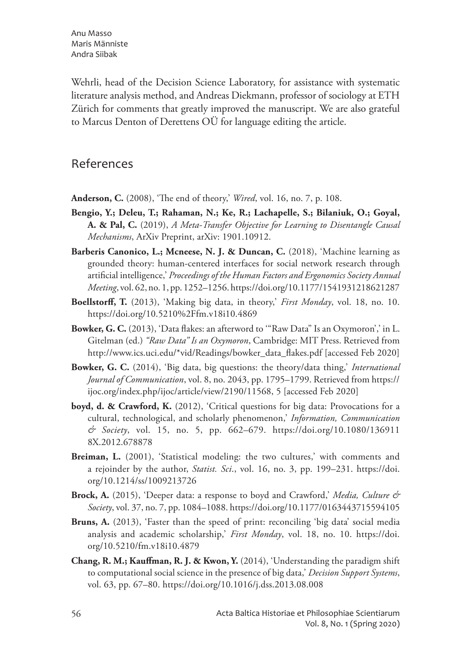Wehrli, head of the Decision Science Laboratory, for assistance with systematic literature analysis method, and Andreas Diekmann, professor of sociology at ETH Zürich for comments that greatly improved the manuscript. We are also grateful to Marcus Denton of Derettens OÜ for language editing the article.

### References

- **Anderson, C.** (2008), 'The end of theory,' *Wired*, vol. 16, no. 7, p. 108.
- **Bengio, Y.; Deleu, T.; Rahaman, N.; Ke, R.; Lachapelle, S.; Bilaniuk, O.; Goyal, A. & Pal, C.** (2019), *A Meta-Transfer Objective for Learning to Disentangle Causal Mechanisms*, ArXiv Preprint, arXiv: 1901.10912.
- **Barberis Canonico, L.; Mcneese, N. J. & Duncan, C.** (2018), 'Machine learning as grounded theory: human-centered interfaces for social network research through artificial intelligence,' *Proceedings of the Human Factors and Ergonomics Society Annual Meeting*, vol. 62, no. 1, pp. 1252–1256. https://doi.org/10.1177/1541931218621287
- **Boellstorff, T.** (2013), 'Making big data, in theory,' *First Monday*, vol. 18, no. 10. https://doi.org/10.5210%2Ffm.v18i10.4869
- **Bowker, G. C.** (2013), 'Data flakes: an afterword to '"Raw Data" Is an Oxymoron',' in L. Gitelman (ed.) *"Raw Data" Is an Oxymoron*, Cambridge: MIT Press. Retrieved from http://www.ics.uci.edu/\*vid/Readings/bowker\_data\_flakes.pdf [accessed Feb 2020]
- **Bowker, G. C.** (2014), 'Big data, big questions: the theory/data thing,' *International Journal of Communication*, vol. 8, no. 2043, pp. 1795–1799. Retrieved from https:// ijoc.org/index.php/ijoc/article/view/2190/11568, 5 [accessed Feb 2020]
- **boyd, d. & Crawford, K.** (2012), 'Critical questions for big data: Provocations for a cultural, technological, and scholarly phenomenon,' *Information, Communication & Society*, vol. 15, no. 5, pp. 662–679. https://doi.org/10.1080/136911 8X.2012.678878
- **Breiman, L.** (2001), 'Statistical modeling: the two cultures,' with comments and a rejoinder by the author, *Statist. Sci*., vol. 16, no. 3, pp. 199–231. https://doi. org/10.1214/ss/1009213726
- **Brock, A.** (2015), 'Deeper data: a response to boyd and Crawford,' *Media, Culture & Society*, vol. 37, no. 7, pp. 1084–1088. https://doi.org/10.1177/0163443715594105
- **Bruns, A.** (2013), 'Faster than the speed of print: reconciling 'big data' social media analysis and academic scholarship,' *First Monday*, vol. 18, no. 10. https://doi. org/10.5210/fm.v18i10.4879
- **Chang, R. M.; Kauffman, R. J. & Kwon, Y.** (2014), 'Understanding the paradigm shift to computational social science in the presence of big data,' *Decision Support Systems*, vol. 63, pp. 67–80. https://doi.org/10.1016/j.dss.2013.08.008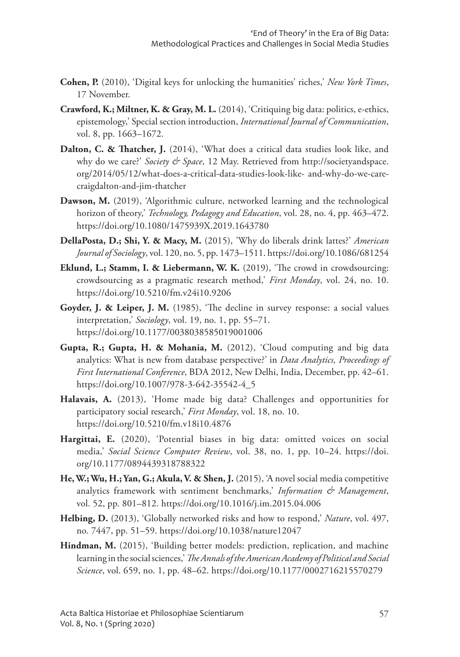- **Cohen, P.** (2010), 'Digital keys for unlocking the humanities' riches,' *New York Times*, 17 November.
- **Crawford, K.; Miltner, K. & Gray, M. L.** (2014), 'Critiquing big data: politics, e-ethics, epistemology,' Special section introduction, *International Journal of Communication*, vol. 8, pp. 1663–1672.
- **Dalton, C. & Thatcher, J.** (2014), 'What does a critical data studies look like, and why do we care?' *Society & Space*, 12 May. Retrieved from http://societyandspace. org/2014/05/12/what-does-a-critical-data-studies-look-like- and-why-do-we-carecraigdalton-and-jim-thatcher
- **Dawson, M.** (2019), 'Algorithmic culture, networked learning and the technological horizon of theory,' *Technology, Pedagogy and Education*, vol. 28, no. 4, pp. 463–472. https://doi.org/10.1080/1475939X.2019.1643780
- **DellaPosta, D.; Shi, Y. & Macy, M.** (2015), 'Why do liberals drink lattes?' *American Journal of Sociology*, vol. 120, no. 5, pp. 1473–1511. https://doi.org/10.1086/681254
- **Eklund, L.; Stamm, I. & Liebermann, W. K.** (2019), 'The crowd in crowdsourcing: crowdsourcing as a pragmatic research method,' *First Monday*, vol. 24, no. 10. https://doi.org/10.5210/fm.v24i10.9206
- **Goyder, J. & Leiper, J. M.** (1985), 'The decline in survey response: a social values interpretation,' *Sociology*, vol. 19, no. 1, pp. 55–71. https://doi.org/10.1177/0038038585019001006
- **Gupta, R.; Gupta, H. & Mohania, M.** (2012), 'Cloud computing and big data analytics: What is new from database perspective?' in *Data Analytics, Proceedings of First International Conference*, BDA 2012, New Delhi, India, December, pp. 42–61. https://doi.org/10.1007/978-3-642-35542-4\_5
- **Halavais, A.** (2013), 'Home made big data? Challenges and opportunities for participatory social research,' *First Monday*, vol. 18, no. 10. https://doi.org/10.5210/fm.v18i10.4876
- **Hargittai, E.** (2020), 'Potential biases in big data: omitted voices on social media,' *Social Science Computer Review*, vol. 38, no. 1, pp. 10–24. https://doi. org/10.1177/0894439318788322
- **He, W.; Wu, H.; Yan, G.; Akula, V. & Shen, J.** (2015), 'A novel social media competitive analytics framework with sentiment benchmarks,' *Information & Management*, vol. 52, pp. 801–812. https://doi.org/10.1016/j.im.2015.04.006
- **Helbing, D.** (2013), 'Globally networked risks and how to respond,' *Nature*, vol. 497, no. 7447, pp. 51–59. https://doi.org/10.1038/nature12047
- **Hindman, M.** (2015), 'Building better models: prediction, replication, and machine learning in the social sciences,' *The Annals of the American Academy of Political and Social Science*, vol. 659, no. 1, pp. 48–62. https://doi.org/10.1177/0002716215570279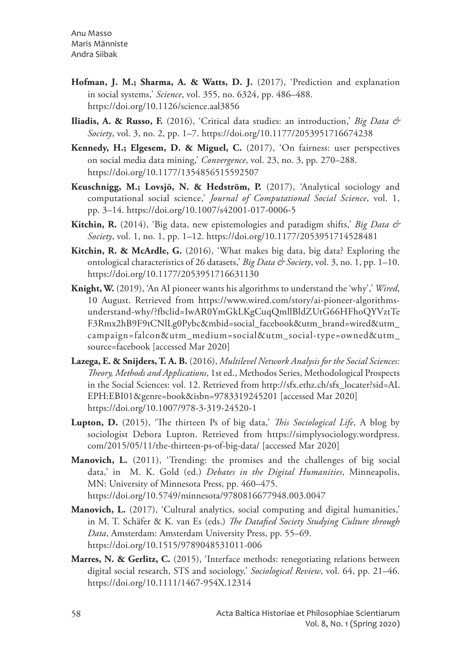Anu Masso Maris Männiste Andra Siibak

- **Hofman, J. M.; Sharma, A. & Watts, D. J.** (2017), 'Prediction and explanation in social systems,' *Science*, vol. 355, no. 6324, pp. 486–488. https://doi.org/10.1126/science.aal3856
- **Iliadis, A. & Russo, F.** (2016), 'Critical data studies: an introduction,' *Big Data & Society*, vol. 3, no. 2, pp. 1–7. https://doi.org/10.1177/2053951716674238
- **Kennedy, H.; Elgesem, D. & Miguel, C.** (2017), 'On fairness: user perspectives on social media data mining,' *Convergence*, vol. 23, no. 3, pp. 270–288. https://doi.org/10.1177/1354856515592507
- **Keuschnigg, M.; Lovsjö, N. & Hedström, P.** (2017), 'Analytical sociology and computational social science,' *Journal of Computational Social Science*, vol. 1, pp. 3–14. https://doi.org/10.1007/s42001-017-0006-5
- **Kitchin, R.** (2014), 'Big data, new epistemologies and paradigm shifts,' *Big Data & Society*, vol. 1, no. 1, pp. 1–12. https://doi.org/10.1177/2053951714528481
- **Kitchin, R. & McArdle, G.** (2016), 'What makes big data, big data? Exploring the ontological characteristics of 26 datasets,' *Big Data & Society*, vol. 3, no. 1, pp. 1–10. https://doi.org/10.1177/2053951716631130
- **Knight, W.** (2019), 'An AI pioneer wants his algorithms to understand the 'why',' *Wired*, 10 August. Retrieved from https://www.wired.com/story/ai-pioneer-algorithmsunderstand-why/?fbclid=IwAR0YmGkLKgCuqQmllBldZUtG66HFhoQYVztTe F3Rmx2hB9F9tCNlLg0Pybc&mbid=social\_facebook&utm\_brand=wired&utm\_ campaign=falcon&utm\_medium=social&utm\_social-type=owned&utm\_ source=facebook [accessed Mar 2020]
- **Lazega, E. & Snijders, T. A. B.** (2016), *Multilevel Network Analysis for the Social Sciences: Theory, Methods and Applications*, 1st ed., Methodos Series, Methodological Prospects in the Social Sciences: vol. 12. Retrieved from http://sfx.ethz.ch/sfx\_locater?sid=AL EPH:EBI01&genre=book&isbn=9783319245201 [accessed Mar 2020] https://doi.org/10.1007/978-3-319-24520-1
- **Lupton, D.** (2015), 'The thirteen Ps of big data,' *This Sociological Life*, A blog by sociologist Debora Lupton. Retrieved from https://simplysociology.wordpress. com/2015/05/11/the-thirteen-ps-of-big-data/ [accessed Mar 2020]
- **Manovich, L.** (2011), 'Trending: the promises and the challenges of big social data,' in M. K. Gold (ed.) *Debates in the Digital Humanities*, Minneapolis, MN: University of Minnesota Press, pp. 460–475. https://doi.org/10.5749/minnesota/9780816677948.003.0047
- **Manovich, L.** (2017), 'Cultural analytics, social computing and digital humanities,' in M. T. Schäfer & K. van Es (eds.) *The Datafied Society Studying Culture through Data*, Amsterdam: Amsterdam University Press, pp. 55–69. https://doi.org/10.1515/9789048531011-006
- **Marres, N. & Gerlitz, C.** (2015), 'Interface methods: renegotiating relations between digital social research, STS and sociology,' *Sociological Review*, vol. 64, pp. 21–46. https://doi.org/10.1111/1467-954X.12314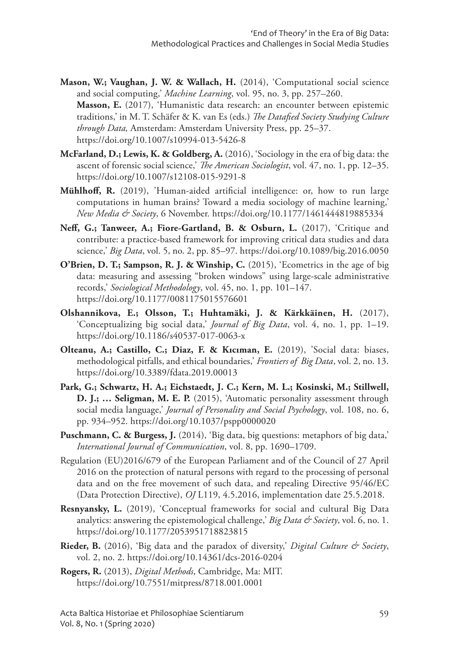- **Mason, W.; Vaughan, J. W. & Wallach, H.** (2014), 'Computational social science and social computing,' *Machine Learning*, vol. 95, no. 3, pp. 257–260. **Masson, E.** (2017), 'Humanistic data research: an encounter between epistemic traditions,' in M. T. Schäfer & K. van Es (eds.) *The Datafied Society Studying Culture through Data,* Amsterdam: Amsterdam University Press, pp. 25–37. https://doi.org/10.1007/s10994-013-5426-8
- **McFarland, D.; Lewis, K. & Goldberg, A.** (2016), 'Sociology in the era of big data: the ascent of forensic social science,' *The American Sociologist*, vol. 47, no. 1, pp. 12–35. https://doi.org/10.1007/s12108-015-9291-8
- **Mühlhoff, R.** (2019), 'Human-aided artificial intelligence: or, how to run large computations in human brains? Toward a media sociology of machine learning,' *New Media & Society*, 6 November. https://doi.org/10.1177/1461444819885334
- Neff, G.; Tanweer, A.; Fiore-Gartland, B. & Osburn, L. (2017), 'Critique and contribute: a practice-based framework for improving critical data studies and data science,' *Big Data*, vol. 5, no. 2, pp. 85–97. https://doi.org/10.1089/big.2016.0050
- **O'Brien, D. T.; Sampson, R. J. & Winship, C.** (2015), 'Ecometrics in the age of big data: measuring and assessing "broken windows" using large-scale administrative records,' *Sociological Methodology*, vol. 45, no. 1, pp. 101–147. https://doi.org/10.1177/0081175015576601
- **Olshannikova, E.; Olsson, T.; Huhtamäki, J. & Kärkkäinen, H.** (2017), 'Conceptualizing big social data,' *Journal of Big Data*, vol. 4, no. 1, pp. 1–19. https://doi.org/10.1186/s40537-017-0063-x
- **Olteanu, A.; Castillo, C.; Diaz, F. & Kıcıman, E.** (2019), 'Social data: biases, methodological pitfalls, and ethical boundaries,' *Frontiers of Big Data*, vol. 2, no. 13. https://doi.org/10.3389/fdata.2019.00013
- **Park, G.; Schwartz, H. A.; Eichstaedt, J. C.; Kern, M. L.; Kosinski, M.; Stillwell, D. J.; … Seligman, M. E. P.** (2015), 'Automatic personality assessment through social media language,' *Journal of Personality and Social Psychology*, vol. 108, no. 6, pp. 934–952. https://doi.org/10.1037/pspp0000020
- **Puschmann, C. & Burgess, J.** (2014), 'Big data, big questions: metaphors of big data,' *International Journal of Communication*, vol. 8, pp. 1690–1709.
- Regulation (EU)2016/679 of the European Parliament and of the Council of 27 April 2016 on the protection of natural persons with regard to the processing of personal data and on the free movement of such data, and repealing Directive 95/46/EC (Data Protection Directive), *OJ* L119, 4.5.2016, implementation date 25.5.2018.
- **Resnyansky, L.** (2019), 'Conceptual frameworks for social and cultural Big Data analytics: answering the epistemological challenge,' *Big Data & Society*, vol. 6, no. 1. https://doi.org/10.1177/2053951718823815
- **Rieder, B.** (2016), 'Big data and the paradox of diversity,' *Digital Culture & Society*, vol. 2, no. 2. https://doi.org/10.14361/dcs-2016-0204
- **Rogers, R.** (2013), *Digital Methods*, Cambridge, Ma: MIT. https://doi.org/10.7551/mitpress/8718.001.0001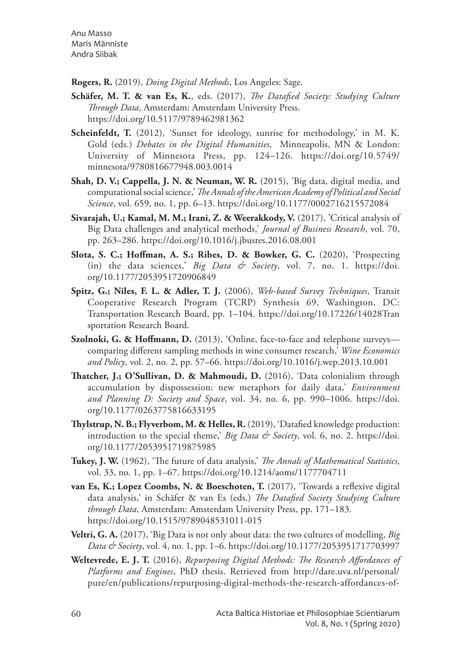Anu Masso Maris Männiste Andra Siibak

**Rogers, R.** (2019), *Doing Digital Methods*, Los Angeles: Sage.

- **Schäfer, M. T. & van Es, K.**, eds. (2017), *The Datafied Society: Studying Culture Through Data*, Amsterdam: Amsterdam University Press. https://doi.org/10.5117/9789462981362
- **Scheinfeldt, T.** (2012), 'Sunset for ideology, sunrise for methodology,' in M. K. Gold (eds.) *Debates in the Digital Humanities*, Minneapolis, MN & London: University of Minnesota Press, pp. 124–126. https://doi.org/10.5749/ minnesota/9780816677948.003.0014
- **Shah, D. V.; Cappella, J. N. & Neuman, W. R.** (2015), 'Big data, digital media, and computational social science,' *The Annals of the American Academy of Political and Social Science*, vol. 659, no. 1, pp. 6–13. https://doi.org/10.1177/0002716215572084
- **Sivarajah, U.; Kamal, M. M.; Irani, Z. & Weerakkody, V.** (2017), 'Critical analysis of Big Data challenges and analytical methods,' *Journal of Business Research*, vol. 70, pp. 263–286. https://doi.org/10.1016/j.jbusres.2016.08.001
- **Slota, S. C.; Hoffman, A. S.; Ribes, D. & Bowker, G. C.** (2020), 'Prospecting (in) the data sciences,' *Big Data & Society*, vol. 7, no. 1. https://doi. org/10.1177/2053951720906849
- **Spitz, G.; Niles, F. L. & Adler, T. J.** (2006), *Web-based Survey Techniques*, Transit Cooperative Research Program (TCRP) Synthesis 69, Washington, DC: Transportation Research Board, pp. 1–104. https://doi.org/10.17226/14028Tran sportation Research Board.
- **Szolnoki, G. & Hoffmann, D.** (2013), 'Online, face-to-face and telephone surveys comparing different sampling methods in wine consumer research,' *Wine Economics and Policy*, vol. 2, no. 2, pp. 57–66. https://doi.org/10.1016/j.wep.2013.10.001
- **Thatcher, J.; O'Sullivan, D. & Mahmoudi, D.** (2016), 'Data colonialism through accumulation by dispossession: new metaphors for daily data,' *Environment and Planning D: Society and Space*, vol. 34, no. 6, pp. 990–1006. https://doi. org/10.1177/0263775816633195
- **Thylstrup, N. B.; Flyverbom, M. & Helles, R.** (2019), 'Datafied knowledge production: introduction to the special theme,' *Big Data & Society*, vol. 6, no. 2. https://doi. org/10.1177/2053951719875985
- **Tukey, J. W.** (1962), 'The future of data analysis,' *The Annals of Mathematical Statistics*, vol. 33, no. 1, pp. 1–67. https://doi.org/10.1214/aoms/1177704711
- **van Es, K.; Lopez Coombs, N. & Boeschoten, T.** (2017), 'Towards a reflexive digital data analysis,' in Schäfer & van Es (eds.) *The Datafied Society Studying Culture through Data*, Amsterdam: Amsterdam University Press, pp. 171–183. https://doi.org/10.1515/9789048531011-015
- **Veltri, G. A.** (2017), 'Big Data is not only about data: the two cultures of modelling, *Big Data & Society*, vol. 4, no. 1, pp. 1–6. https://doi.org/10.1177/2053951717703997
- **Weltevrede, E. J. T.** (2016), *Repurposing Digital Methods: The Research Affordances of Platforms and Engines*, PhD thesis. Retrieved from http://dare.uva.nl/personal/ pure/en/publications/repurposing-digital-methods-the-research-affordances-of-